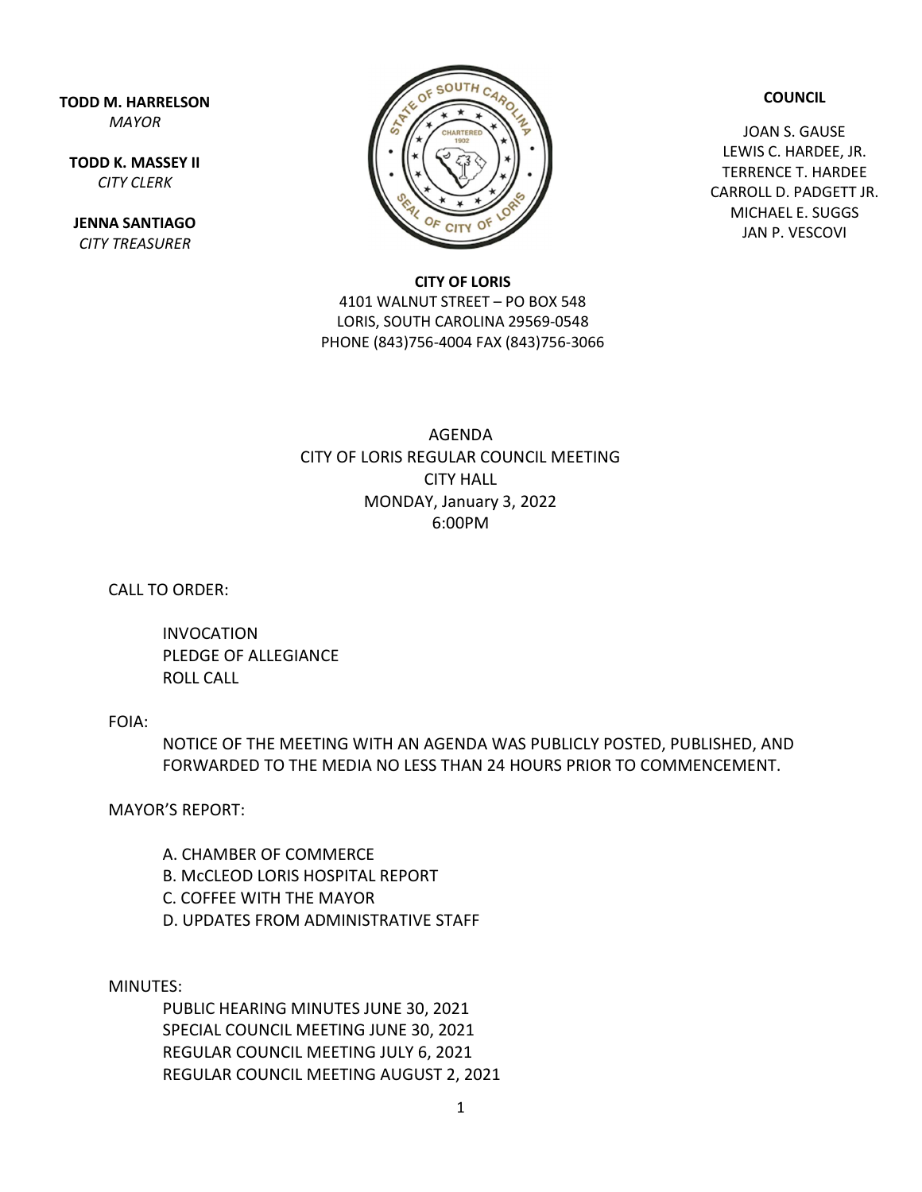TODD M. HARRELSON MAYOR

TODD K. MASSEY II CITY CLERK

JENNA SANTIAGO CITY TREASURER



COUNCIL

JOAN S. GAUSE LEWIS C. HARDEE, JR. TERRENCE T. HARDEE CARROLL D. PADGETT JR. MICHAEL E. SUGGS JAN P. VESCOVI

## CITY OF LORIS

4101 WALNUT STREET – PO BOX 548 LORIS, SOUTH CAROLINA 29569-0548 PHONE (843)756-4004 FAX (843)756-3066

## AGENDA CITY OF LORIS REGULAR COUNCIL MEETING CITY HALL MONDAY, January 3, 2022 6:00PM

CALL TO ORDER:

 INVOCATION PLEDGE OF ALLEGIANCE ROLL CALL

## FOIA:

NOTICE OF THE MEETING WITH AN AGENDA WAS PUBLICLY POSTED, PUBLISHED, AND FORWARDED TO THE MEDIA NO LESS THAN 24 HOURS PRIOR TO COMMENCEMENT.

MAYOR'S REPORT:

 A. CHAMBER OF COMMERCE B. McCLEOD LORIS HOSPITAL REPORT C. COFFEE WITH THE MAYOR D. UPDATES FROM ADMINISTRATIVE STAFF

MINUTES:

 PUBLIC HEARING MINUTES JUNE 30, 2021 SPECIAL COUNCIL MEETING JUNE 30, 2021 REGULAR COUNCIL MEETING JULY 6, 2021 REGULAR COUNCIL MEETING AUGUST 2, 2021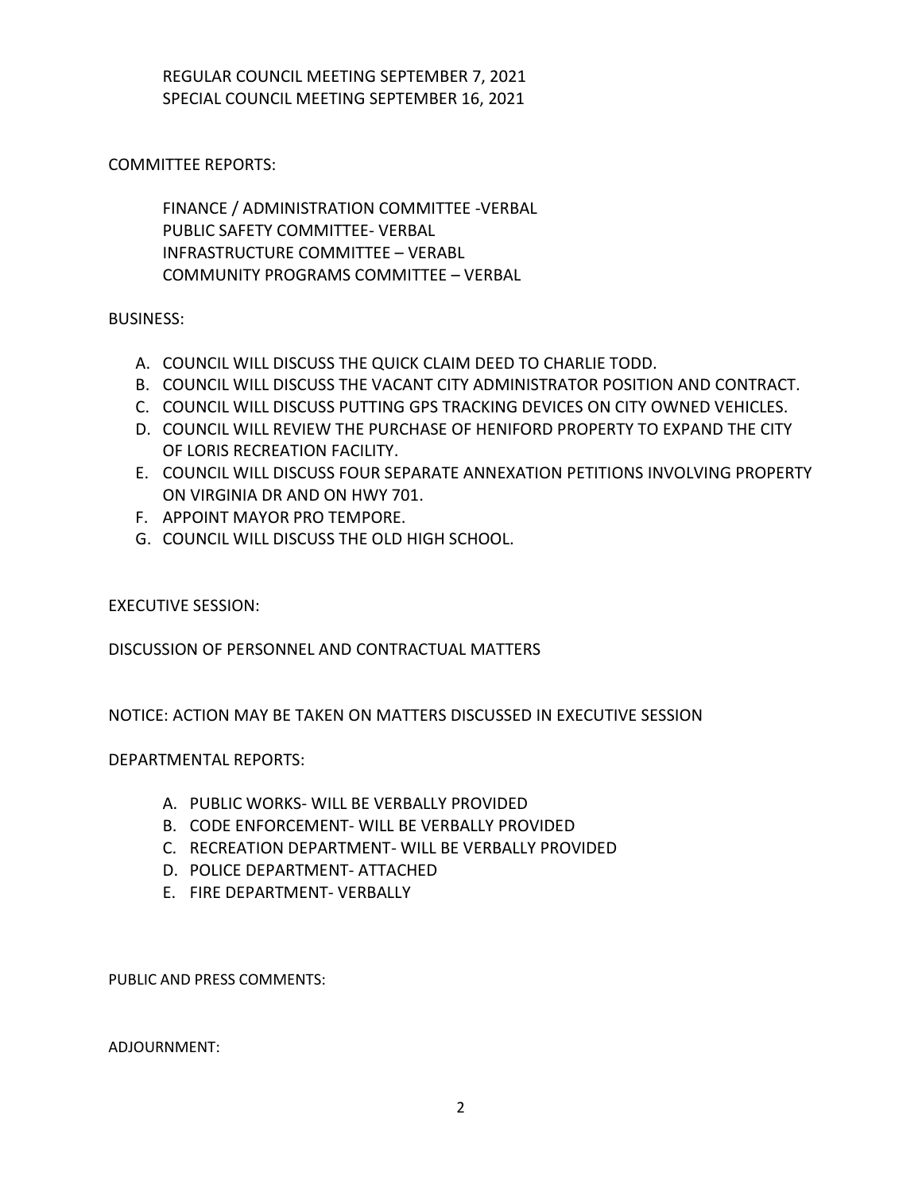REGULAR COUNCIL MEETING SEPTEMBER 7, 2021 SPECIAL COUNCIL MEETING SEPTEMBER 16, 2021

COMMITTEE REPORTS:

 FINANCE / ADMINISTRATION COMMITTEE -VERBAL PUBLIC SAFETY COMMITTEE- VERBAL INFRASTRUCTURE COMMITTEE – VERABL COMMUNITY PROGRAMS COMMITTEE – VERBAL

BUSINESS:

- A. COUNCIL WILL DISCUSS THE QUICK CLAIM DEED TO CHARLIE TODD.
- B. COUNCIL WILL DISCUSS THE VACANT CITY ADMINISTRATOR POSITION AND CONTRACT.
- C. COUNCIL WILL DISCUSS PUTTING GPS TRACKING DEVICES ON CITY OWNED VEHICLES.
- D. COUNCIL WILL REVIEW THE PURCHASE OF HENIFORD PROPERTY TO EXPAND THE CITY OF LORIS RECREATION FACILITY.
- E. COUNCIL WILL DISCUSS FOUR SEPARATE ANNEXATION PETITIONS INVOLVING PROPERTY ON VIRGINIA DR AND ON HWY 701.
- F. APPOINT MAYOR PRO TEMPORE.
- G. COUNCIL WILL DISCUSS THE OLD HIGH SCHOOL.

EXECUTIVE SESSION:

DISCUSSION OF PERSONNEL AND CONTRACTUAL MATTERS

NOTICE: ACTION MAY BE TAKEN ON MATTERS DISCUSSED IN EXECUTIVE SESSION

DEPARTMENTAL REPORTS:

- A. PUBLIC WORKS- WILL BE VERBALLY PROVIDED
- B. CODE ENFORCEMENT- WILL BE VERBALLY PROVIDED
- C. RECREATION DEPARTMENT- WILL BE VERBALLY PROVIDED
- D. POLICE DEPARTMENT- ATTACHED
- E. FIRE DEPARTMENT- VERBALLY

PUBLIC AND PRESS COMMENTS:

ADJOURNMENT: